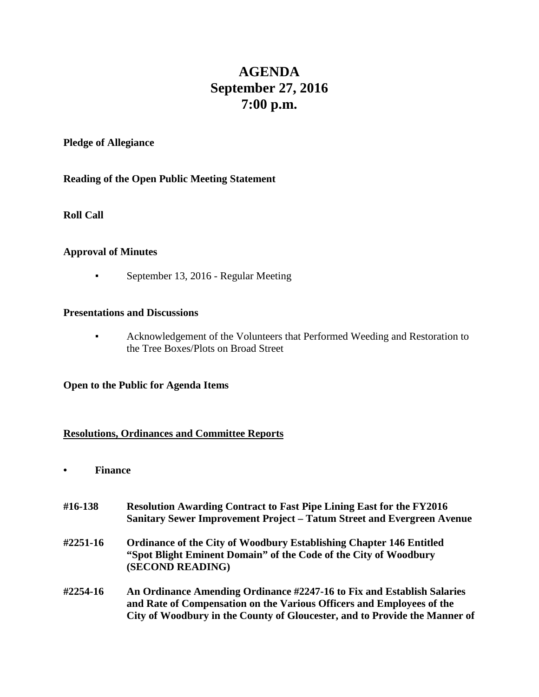# **AGENDA September 27, 2016 7:00 p.m.**

#### **Pledge of Allegiance**

#### **Reading of the Open Public Meeting Statement**

#### **Roll Call**

#### **Approval of Minutes**

• September 13, 2016 - Regular Meeting

#### **Presentations and Discussions**

▪ Acknowledgement of the Volunteers that Performed Weeding and Restoration to the Tree Boxes/Plots on Broad Street

#### **Open to the Public for Agenda Items**

#### **Resolutions, Ordinances and Committee Reports**

- **• Finance**
- **#16-138 Resolution Awarding Contract to Fast Pipe Lining East for the FY2016 Sanitary Sewer Improvement Project – Tatum Street and Evergreen Avenue #2251-16 Ordinance of the City of Woodbury Establishing Chapter 146 Entitled "Spot Blight Eminent Domain" of the Code of the City of Woodbury (SECOND READING) #2254-16 An Ordinance Amending Ordinance #2247-16 to Fix and Establish Salaries and Rate of Compensation on the Various Officers and Employees of the City of Woodbury in the County of Gloucester, and to Provide the Manner of**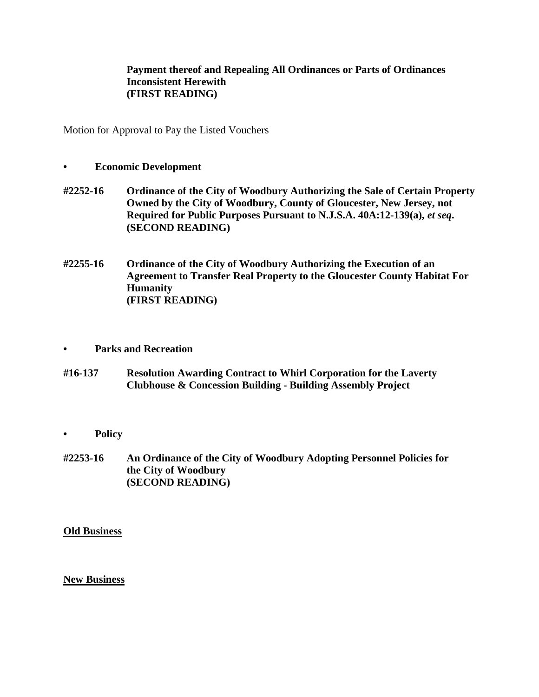#### **Payment thereof and Repealing All Ordinances or Parts of Ordinances Inconsistent Herewith (FIRST READING)**

Motion for Approval to Pay the Listed Vouchers

- **• Economic Development**
- **#2252-16 Ordinance of the City of Woodbury Authorizing the Sale of Certain Property Owned by the City of Woodbury, County of Gloucester, New Jersey, not Required for Public Purposes Pursuant to N.J.S.A. 40A:12-139(a),** *et seq***. (SECOND READING)**
- **#2255-16 Ordinance of the City of Woodbury Authorizing the Execution of an Agreement to Transfer Real Property to the Gloucester County Habitat For Humanity (FIRST READING)**
- **• Parks and Recreation**
- **#16-137 Resolution Awarding Contract to Whirl Corporation for the Laverty Clubhouse & Concession Building - Building Assembly Project**
- **• Policy**
- **#2253-16 An Ordinance of the City of Woodbury Adopting Personnel Policies for the City of Woodbury (SECOND READING)**

**Old Business**

**New Business**